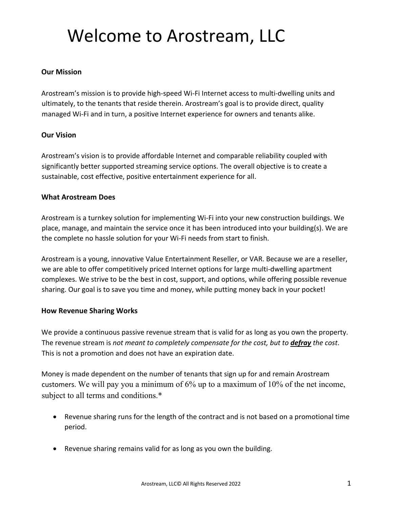# Welcome to Arostream, LLC

## **Our Mission**

Arostream's mission is to provide high-speed Wi-Fi Internet access to multi-dwelling units and ultimately, to the tenants that reside therein. Arostream's goal is to provide direct, quality managed Wi-Fi and in turn, a positive Internet experience for owners and tenants alike.

## **Our Vision**

Arostream's vision is to provide affordable Internet and comparable reliability coupled with significantly better supported streaming service options. The overall objective is to create a sustainable, cost effective, positive entertainment experience for all.

## **What Arostream Does**

Arostream is a turnkey solution for implementing Wi-Fi into your new construction buildings. We place, manage, and maintain the service once it has been introduced into your building(s). We are the complete no hassle solution for your Wi-Fi needs from start to finish.

Arostream is a young, innovative Value Entertainment Reseller, or VAR. Because we are a reseller, we are able to offer competitively priced Internet options for large multi-dwelling apartment complexes. We strive to be the best in cost, support, and options, while offering possible revenue sharing. Our goal is to save you time and money, while putting money back in your pocket!

## **How Revenue Sharing Works**

We provide a continuous passive revenue stream that is valid for as long as you own the property. The revenue stream is *not meant to completely compensate for the cost, but to defray the cost*. This is not a promotion and does not have an expiration date.

Money is made dependent on the number of tenants that sign up for and remain Arostream customers. We will pay you a minimum of 6% up to a maximum of 10% of the net income, subject to all terms and conditions.\*

- Revenue sharing runs for the length of the contract and is not based on a promotional time period.
- Revenue sharing remains valid for as long as you own the building.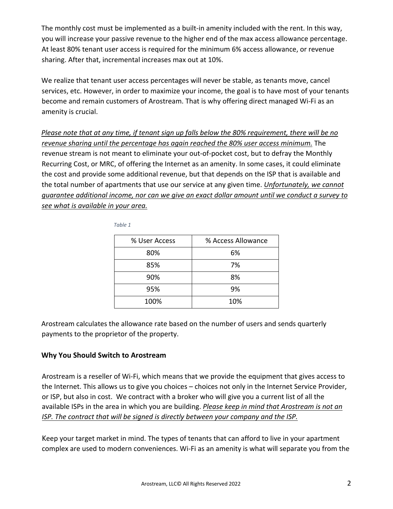The monthly cost must be implemented as a built-in amenity included with the rent. In this way, you will increase your passive revenue to the higher end of the max access allowance percentage. At least 80% tenant user access is required for the minimum 6% access allowance, or revenue sharing. After that, incremental increases max out at 10%.

We realize that tenant user access percentages will never be stable, as tenants move, cancel services, etc. However, in order to maximize your income, the goal is to have most of your tenants become and remain customers of Arostream. That is why offering direct managed Wi-Fi as an amenity is crucial.

*Please note that at any time, if tenant sign up falls below the 80% requirement, there will be no revenue sharing until the percentage has again reached the 80% user access minimum.* The revenue stream is not meant to eliminate your out-of-pocket cost, but to defray the Monthly Recurring Cost, or MRC, of offering the Internet as an amenity. In some cases, it could eliminate the cost and provide some additional revenue, but that depends on the ISP that is available and the total number of apartments that use our service at any given time. *Unfortunately, we cannot guarantee additional income, nor can we give an exact dollar amount until we conduct a survey to see what is available in your area.*

| % User Access | % Access Allowance |
|---------------|--------------------|
| 80%           | 6%                 |
| 85%           | 7%                 |
| 90%           | 8%                 |
| 95%           | 9%                 |
| 100%          | 10%                |

 *Table 1*

Arostream calculates the allowance rate based on the number of users and sends quarterly payments to the proprietor of the property.

## **Why You Should Switch to Arostream**

Arostream is a reseller of Wi-Fi, which means that we provide the equipment that gives access to the Internet. This allows us to give you choices – choices not only in the Internet Service Provider, or ISP, but also in cost. We contract with a broker who will give you a current list of all the available ISPs in the area in which you are building. *Please keep in mind that Arostream is not an ISP. The contract that will be signed is directly between your company and the ISP.*

Keep your target market in mind. The types of tenants that can afford to live in your apartment complex are used to modern conveniences. Wi-Fi as an amenity is what will separate you from the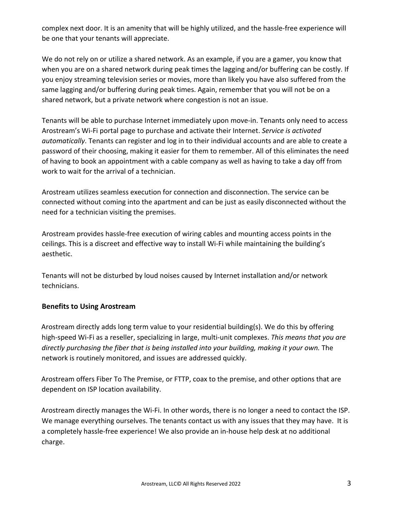complex next door. It is an amenity that will be highly utilized, and the hassle-free experience will be one that your tenants will appreciate.

We do not rely on or utilize a shared network. As an example, if you are a gamer, you know that when you are on a shared network during peak times the lagging and/or buffering can be costly. If you enjoy streaming television series or movies, more than likely you have also suffered from the same lagging and/or buffering during peak times. Again, remember that you will not be on a shared network, but a private network where congestion is not an issue.

Tenants will be able to purchase Internet immediately upon move-in. Tenants only need to access Arostream's Wi-Fi portal page to purchase and activate their Internet. *Service is activated automatically*. Tenants can register and log in to their individual accounts and are able to create a password of their choosing, making it easier for them to remember. All of this eliminates the need of having to book an appointment with a cable company as well as having to take a day off from work to wait for the arrival of a technician.

Arostream utilizes seamless execution for connection and disconnection. The service can be connected without coming into the apartment and can be just as easily disconnected without the need for a technician visiting the premises.

Arostream provides hassle-free execution of wiring cables and mounting access points in the ceilings. This is a discreet and effective way to install Wi-Fi while maintaining the building's aesthetic.

Tenants will not be disturbed by loud noises caused by Internet installation and/or network technicians.

## **Benefits to Using Arostream**

Arostream directly adds long term value to your residential building(s). We do this by offering high-speed Wi-Fi as a reseller, specializing in large, multi-unit complexes. *This means that you are directly purchasing the fiber that is being installed into your building, making it your own.* The network is routinely monitored, and issues are addressed quickly.

Arostream offers Fiber To The Premise, or FTTP, coax to the premise, and other options that are dependent on ISP location availability.

Arostream directly manages the Wi-Fi. In other words, there is no longer a need to contact the ISP. We manage everything ourselves. The tenants contact us with any issues that they may have. It is a completely hassle-free experience! We also provide an in-house help desk at no additional charge.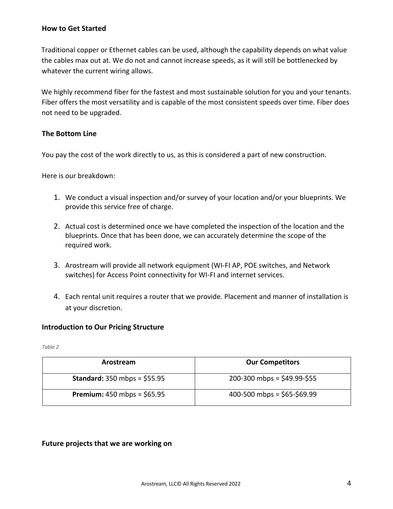## **How to Get Started**

Traditional copper or Ethernet cables can be used, although the capability depends on what value the cables max out at. We do not and cannot increase speeds, as it will still be bottlenecked by whatever the current wiring allows.

We highly recommend fiber for the fastest and most sustainable solution for you and your tenants. Fiber offers the most versatility and is capable of the most consistent speeds over time. Fiber does not need to be upgraded.

## **The Bottom Line**

You pay the cost of the work directly to us, as this is considered a part of new construction.

Here is our breakdown:

- 1. We conduct a visual inspection and/or survey of your location and/or your blueprints. We provide this service free of charge.
- 2. Actual cost is determined once we have completed the inspection of the location and the blueprints. Once that has been done, we can accurately determine the scope of the required work.
- 3. Arostream will provide all network equipment (WI-FI AP, POE switches, and Network switches) for Access Point connectivity for WI-FI and internet services.
- 4. Each rental unit requires a router that we provide. Placement and manner of installation is at your discretion.

## **Introduction to Our Pricing Structure**

*Table 2*

| Arostream                            | <b>Our Competitors</b>        |
|--------------------------------------|-------------------------------|
| <b>Standard:</b> 350 mbps = $$55.95$ | $200-300$ mbps = \$49.99-\$55 |
| <b>Premium:</b> 450 mbps = $$65.95$  | 400-500 mbps = $$65-\$69.99$  |

## **Future projects that we are working on**